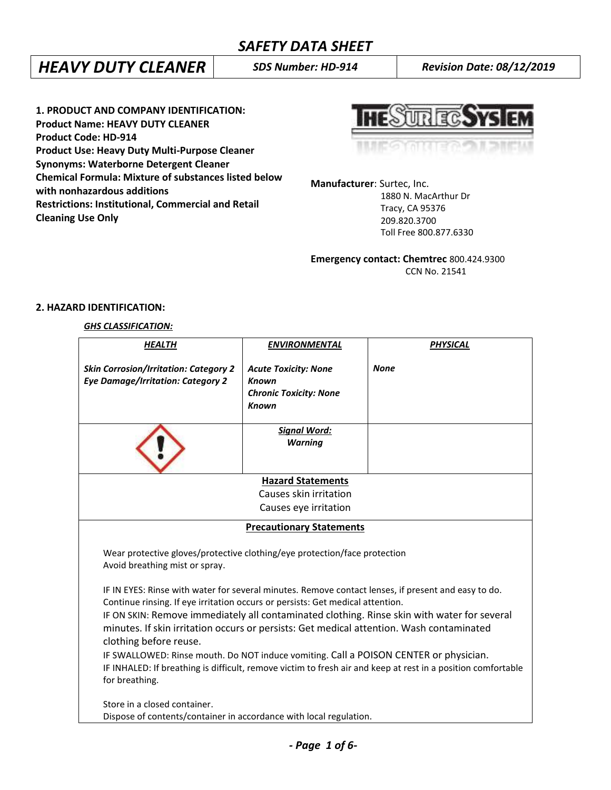# *HEAVY DUTY CLEANER SDS Number: HD-914 Revision Date: 08/12/2019*

**1. PRODUCT AND COMPANY IDENTIFICATION: Product Name: HEAVY DUTY CLEANER Product Code: HD-914 Product Use: Heavy Duty Multi-Purpose Cleaner Synonyms: Waterborne Detergent Cleaner Chemical Formula: Mixture of substances listed below with nonhazardous additions Restrictions: Institutional, Commercial and Retail Cleaning Use Only**

**HESUREGSYSIEM** 

**Manufacturer**: Surtec, Inc. 1880 N. MacArthur Dr Tracy, CA 95376

 209.820.3700 Toll Free 800.877.6330

**Emergency contact: Chemtrec** 800.424.9300 CCN No. 21541

## **2. HAZARD IDENTIFICATION:**

## *GHS CLASSIFICATION:*

| <b>HEALTH</b>                                                                                                      | <b>ENVIRONMENTAL</b>                                                                                                                                                          | <b>PHYSICAL</b>                                                                                     |  |
|--------------------------------------------------------------------------------------------------------------------|-------------------------------------------------------------------------------------------------------------------------------------------------------------------------------|-----------------------------------------------------------------------------------------------------|--|
| <b>Skin Corrosion/Irritation: Category 2</b><br><b>Eye Damage/Irritation: Category 2</b>                           | <b>Acute Toxicity: None</b><br><b>Known</b><br><b>Chronic Toxicity: None</b><br><b>Known</b>                                                                                  | <b>None</b>                                                                                         |  |
|                                                                                                                    | <b>Signal Word:</b><br><b>Warning</b>                                                                                                                                         |                                                                                                     |  |
|                                                                                                                    | <b>Hazard Statements</b>                                                                                                                                                      |                                                                                                     |  |
| Causes skin irritation                                                                                             |                                                                                                                                                                               |                                                                                                     |  |
|                                                                                                                    | Causes eye irritation                                                                                                                                                         |                                                                                                     |  |
|                                                                                                                    | <b>Precautionary Statements</b>                                                                                                                                               |                                                                                                     |  |
| Wear protective gloves/protective clothing/eye protection/face protection<br>Avoid breathing mist or spray.        |                                                                                                                                                                               |                                                                                                     |  |
|                                                                                                                    |                                                                                                                                                                               | IF IN EYES: Rinse with water for several minutes. Remove contact lenses, if present and easy to do. |  |
|                                                                                                                    | Continue rinsing. If eye irritation occurs or persists: Get medical attention.<br>IF ON SKIN: Remove immediately all contaminated clothing. Rinse skin with water for several |                                                                                                     |  |
| minutes. If skin irritation occurs or persists: Get medical attention. Wash contaminated<br>clothing before reuse. |                                                                                                                                                                               |                                                                                                     |  |
| IF SWALLOWED: Rinse mouth. Do NOT induce vomiting. Call a POISON CENTER or physician.                              |                                                                                                                                                                               |                                                                                                     |  |
| IF INHALED: If breathing is difficult, remove victim to fresh air and keep at rest in a position comfortable       |                                                                                                                                                                               |                                                                                                     |  |
| for breathing.                                                                                                     |                                                                                                                                                                               |                                                                                                     |  |
| Store in a closed container.                                                                                       |                                                                                                                                                                               |                                                                                                     |  |
| Dispose of contents/container in accordance with local regulation.                                                 |                                                                                                                                                                               |                                                                                                     |  |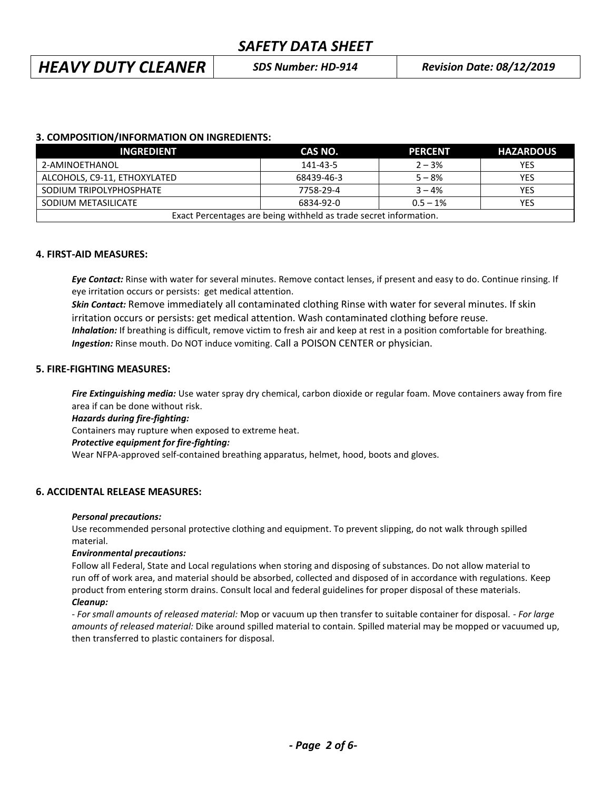# *HEAVY DUTY CLEANER SDS Number: HD-914 Revision Date: 08/12/2019*

## **3. COMPOSITION/INFORMATION ON INGREDIENTS:**

| <b>INGREDIENT</b>                                                 | CAS NO.    | <b>PERCENT</b> | <b>HAZARDOUS</b> |
|-------------------------------------------------------------------|------------|----------------|------------------|
| 2-AMINOETHANOL                                                    | 141-43-5   | $2 - 3%$       | YES              |
| ALCOHOLS, C9-11, ETHOXYLATED                                      | 68439-46-3 | $5 - 8%$       | YES              |
| SODIUM TRIPOLYPHOSPHATE                                           | 7758-29-4  | $3 - 4%$       | YES              |
| SODIUM METASILICATE                                               | 6834-92-0  | $0.5 - 1\%$    | YES              |
| Exact Percentages are being withheld as trade secret information. |            |                |                  |

## **4. FIRST-AID MEASURES:**

*Eye Contact:* Rinse with water for several minutes. Remove contact lenses, if present and easy to do. Continue rinsing. If eye irritation occurs or persists: get medical attention.

*Skin Contact:* Remove immediately all contaminated clothing Rinse with water for several minutes. If skin irritation occurs or persists: get medical attention. Wash contaminated clothing before reuse.  *Inhalation:* If breathing is difficult, remove victim to fresh air and keep at rest in a position comfortable for breathing. *Ingestion:* Rinse mouth. Do NOT induce vomiting. Call a POISON CENTER or physician.

## **5. FIRE-FIGHTING MEASURES:**

*Fire Extinguishing media:* Use water spray dry chemical, carbon dioxide or regular foam. Move containers away from fire area if can be done without risk.

## *Hazards during fire-fighting:*

Containers may rupture when exposed to extreme heat.

## *Protective equipment for fire-fighting:*

Wear NFPA-approved self-contained breathing apparatus, helmet, hood, boots and gloves.

## **6. ACCIDENTAL RELEASE MEASURES:**

## *Personal precautions:*

Use recommended personal protective clothing and equipment. To prevent slipping, do not walk through spilled material.

## *Environmental precautions:*

Follow all Federal, State and Local regulations when storing and disposing of substances. Do not allow material to run off of work area, and material should be absorbed, collected and disposed of in accordance with regulations. Keep product from entering storm drains. Consult local and federal guidelines for proper disposal of these materials. *Cleanup:*

*- For small amounts of released material:* Mop or vacuum up then transfer to suitable container for disposal. - *For large amounts of released material:* Dike around spilled material to contain. Spilled material may be mopped or vacuumed up, then transferred to plastic containers for disposal.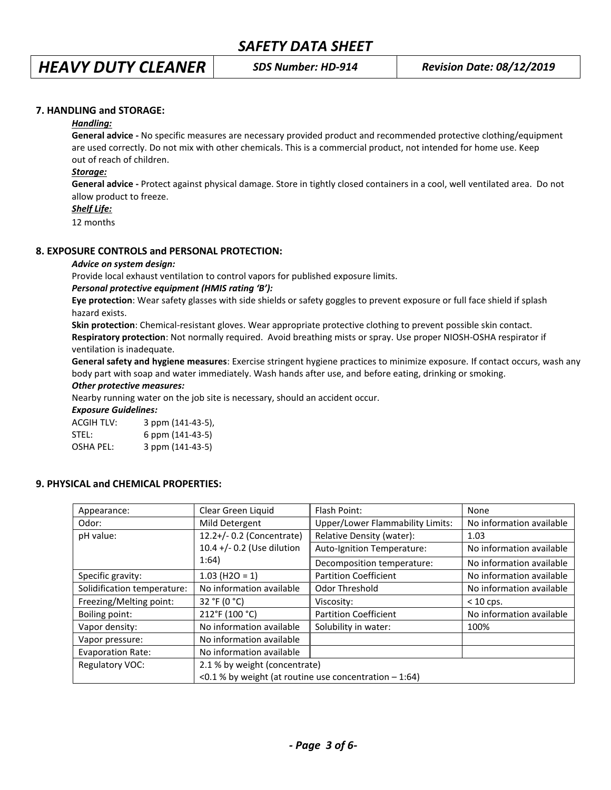## **7. HANDLING and STORAGE:**

#### *Handling:*

**General advice -** No specific measures are necessary provided product and recommended protective clothing/equipment are used correctly. Do not mix with other chemicals. This is a commercial product, not intended for home use. Keep out of reach of children.

#### *Storage:*

**General advice -** Protect against physical damage. Store in tightly closed containers in a cool, well ventilated area. Do not allow product to freeze.

## *Shelf Life:*

12 months

#### **8. EXPOSURE CONTROLS and PERSONAL PROTECTION:**

#### *Advice on system design:*

Provide local exhaust ventilation to control vapors for published exposure limits.

#### *Personal protective equipment (HMIS rating 'B'):*

**Eye protection**: Wear safety glasses with side shields or safety goggles to prevent exposure or full face shield if splash hazard exists.

**Skin protection**: Chemical-resistant gloves. Wear appropriate protective clothing to prevent possible skin contact. **Respiratory protection**: Not normally required. Avoid breathing mists or spray. Use proper NIOSH-OSHA respirator if ventilation is inadequate.

**General safety and hygiene measures**: Exercise stringent hygiene practices to minimize exposure. If contact occurs, wash any body part with soap and water immediately. Wash hands after use, and before eating, drinking or smoking.

#### *Other protective measures:*

Nearby running water on the job site is necessary, should an accident occur.

#### *Exposure Guidelines:*

| <b>ACGIH TLV:</b> | 3 ppm (141-43-5), |
|-------------------|-------------------|
| STEL:             | 6 ppm (141-43-5)  |
| <b>OSHA PEL:</b>  | 3 ppm (141-43-5)  |

## **9. PHYSICAL and CHEMICAL PROPERTIES:**

| Appearance:                 | Clear Green Liquid                                       | Flash Point:                            | None                     |
|-----------------------------|----------------------------------------------------------|-----------------------------------------|--------------------------|
| Odor:                       | Mild Detergent                                           | <b>Upper/Lower Flammability Limits:</b> | No information available |
| pH value:                   | 12.2+/- 0.2 (Concentrate)                                | Relative Density (water):               | 1.03                     |
|                             | 10.4 +/- 0.2 (Use dilution                               | Auto-Ignition Temperature:              | No information available |
| 1:64)                       | Decomposition temperature:                               | No information available                |                          |
| Specific gravity:           | $1.03$ (H <sub>2O</sub> = 1)                             | <b>Partition Coefficient</b>            | No information available |
| Solidification temperature: | No information available                                 | Odor Threshold                          | No information available |
| Freezing/Melting point:     | 32 °F (0 $^{\circ}$ C)                                   | Viscosity:                              | $< 10$ cps.              |
| Boiling point:              | 212°F (100 °C)                                           | <b>Partition Coefficient</b>            | No information available |
| Vapor density:              | No information available                                 | Solubility in water:                    | 100%                     |
| Vapor pressure:             | No information available                                 |                                         |                          |
| <b>Evaporation Rate:</b>    | No information available                                 |                                         |                          |
| <b>Regulatory VOC:</b>      | 2.1 % by weight (concentrate)                            |                                         |                          |
|                             | <0.1 % by weight (at routine use concentration $-1:64$ ) |                                         |                          |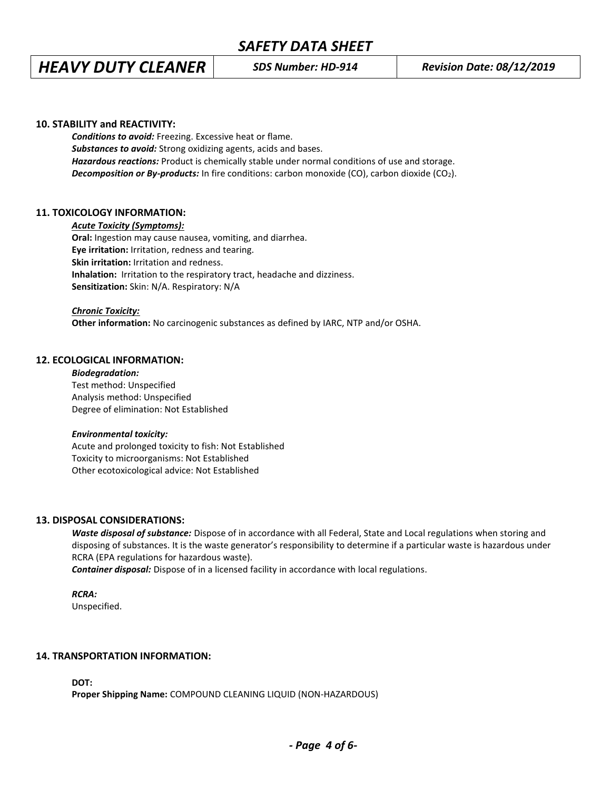# *HEAVY DUTY CLEANER SDS Number: HD-914 Revision Date: 08/12/2019*

#### **10. STABILITY and REACTIVITY:**

*Conditions to avoid:* Freezing. Excessive heat or flame. *Substances to avoid:* Strong oxidizing agents, acids and bases. *Hazardous reactions:* Product is chemically stable under normal conditions of use and storage. **Decomposition or By-products:** In fire conditions: carbon monoxide (CO), carbon dioxide (CO<sub>2</sub>).

#### **11. TOXICOLOGY INFORMATION:**

*Acute Toxicity (Symptoms):*

**Oral:** Ingestion may cause nausea, vomiting, and diarrhea. **Eye irritation:** Irritation, redness and tearing. **Skin irritation:** Irritation and redness. **Inhalation:** Irritation to the respiratory tract, headache and dizziness. **Sensitization:** Skin: N/A. Respiratory: N/A

#### *Chronic Toxicity:*

**Other information:** No carcinogenic substances as defined by IARC, NTP and/or OSHA.

#### **12. ECOLOGICAL INFORMATION:**

*Biodegradation:* Test method: Unspecified Analysis method: Unspecified Degree of elimination: Not Established

#### *Environmental toxicity:*

Acute and prolonged toxicity to fish: Not Established Toxicity to microorganisms: Not Established Other ecotoxicological advice: Not Established

#### **13. DISPOSAL CONSIDERATIONS:**

*Waste disposal of substance:* Dispose of in accordance with all Federal, State and Local regulations when storing and disposing of substances. It is the waste generator's responsibility to determine if a particular waste is hazardous under RCRA (EPA regulations for hazardous waste).

*Container disposal:* Dispose of in a licensed facility in accordance with local regulations.

*RCRA:*

Unspecified.

#### **14. TRANSPORTATION INFORMATION:**

**DOT:**

**Proper Shipping Name:** COMPOUND CLEANING LIQUID (NON-HAZARDOUS)

*- Page 4 of 6-*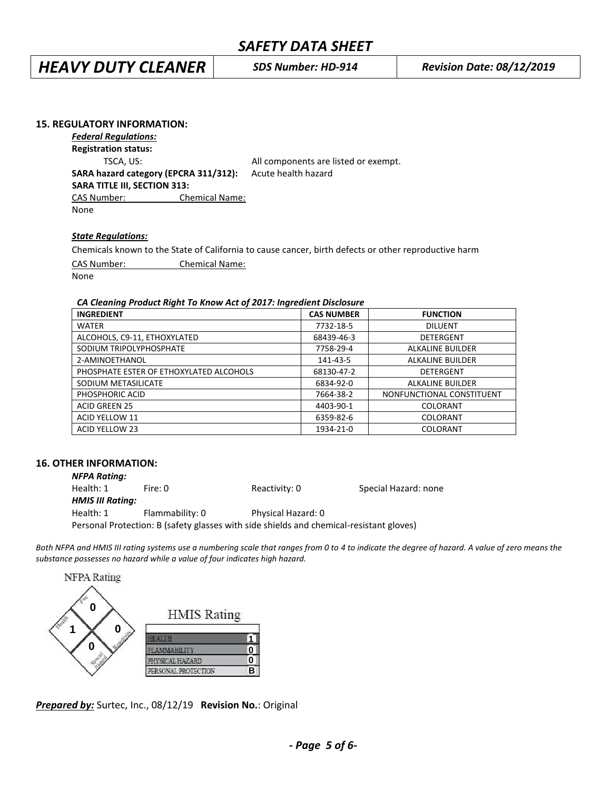*HEAVY DUTY CLEANER SDS Number: HD-914 Revision Date: 08/12/2019*

#### **15. REGULATORY INFORMATION:**

*Federal Regulations:*

**Registration status:**

**SARA TITLE III, SECTION 313:**

TSCA, US: TSCA, US: All components are listed or exempt. **SARA hazard category (EPCRA 311/312):** Acute health hazard

CAS Number: Chemical Name:

None

## *State Regulations:*

Chemicals known to the State of California to cause cancer, birth defects or other reproductive harm CAS Number: Chemical Name: None

#### *CA Cleaning Product Right To Know Act of 2017: Ingredient Disclosure*

| <b>INGREDIENT</b>                       | <b>CAS NUMBER</b> | <b>FUNCTION</b>           |
|-----------------------------------------|-------------------|---------------------------|
| <b>WATER</b>                            | 7732-18-5         | <b>DILUENT</b>            |
| ALCOHOLS, C9-11, ETHOXYLATED            | 68439-46-3        | DETERGENT                 |
| SODIUM TRIPOLYPHOSPHATE                 | 7758-29-4         | <b>ALKALINE BUILDER</b>   |
| 2-AMINOETHANOL                          | 141-43-5          | <b>ALKALINE BUILDER</b>   |
| PHOSPHATE ESTER OF ETHOXYLATED ALCOHOLS | 68130-47-2        | <b>DETERGENT</b>          |
| SODIUM METASILICATE                     | 6834-92-0         | <b>ALKALINE BUILDER</b>   |
| PHOSPHORIC ACID                         | 7664-38-2         | NONFUNCTIONAL CONSTITUENT |
| <b>ACID GREEN 25</b>                    | 4403-90-1         | <b>COLORANT</b>           |
| <b>ACID YELLOW 11</b>                   | 6359-82-6         | <b>COLORANT</b>           |
| ACID YELLOW 23                          | 1934-21-0         | COLORANT                  |

## **16. OTHER INFORMATION:**

| <b>NFPA Rating:</b> |                                                                                         |                    |                      |
|---------------------|-----------------------------------------------------------------------------------------|--------------------|----------------------|
| Health: 1           | Fire: 0                                                                                 | Reactivity: 0      | Special Hazard: none |
| HMIS III Rating:    |                                                                                         |                    |                      |
| Health: 1           | Flammability: 0                                                                         | Physical Hazard: 0 |                      |
|                     | Personal Protection: B (safety glasses with side shields and chemical-resistant gloves) |                    |                      |

Both NFPA and HMIS III rating systems use a numbering scale that ranges from 0 to 4 to indicate the degree of hazard. A value of zero means the *substance possesses no hazard while a value of four indicates high hazard.*



*Prepared by:* Surtec, Inc., 08/12/19 **Revision No.**: Original